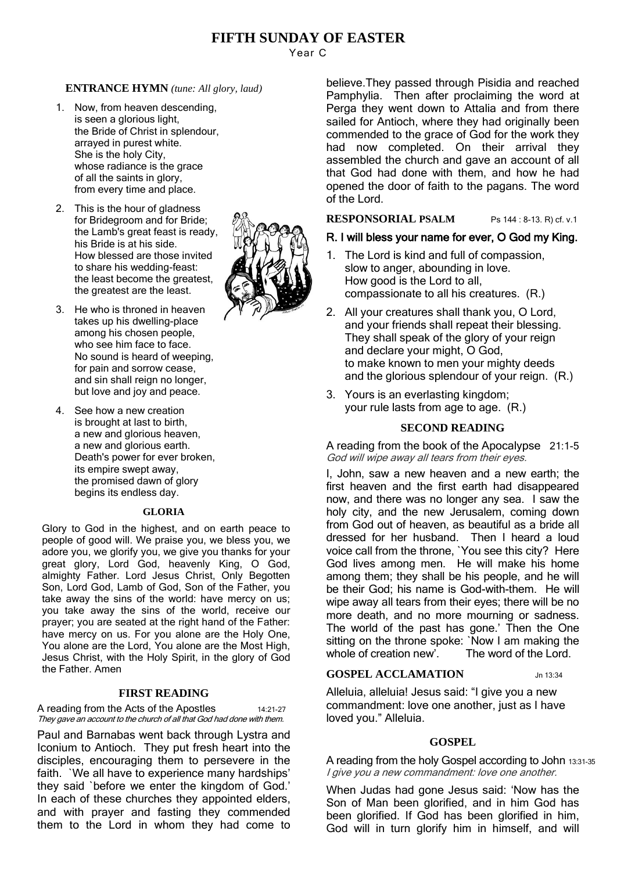# **FIFTH SUNDAY OF EASTER**

Year C

# **ENTRANCE HYMN** *(tune: All glory, laud)*

- 1. Now, from heaven descending, is seen a glorious light, the Bride of Christ in splendour, arrayed in purest white. She is the holy City, whose radiance is the grace of all the saints in glory, from every time and place.
- 2. This is the hour of gladness for Bridegroom and for Bride; the Lamb's great feast is ready, his Bride is at his side. How blessed are those invited to share his wedding-feast: the least become the greatest, the greatest are the least.
- 3. He who is throned in heaven takes up his dwelling-place among his chosen people, who see him face to face. No sound is heard of weeping, for pain and sorrow cease, and sin shall reign no longer. but love and joy and peace.
- 4. See how a new creation is brought at last to birth, a new and glorious heaven, a new and glorious earth. Death's power for ever broken, its empire swept away, the promised dawn of glory begins its endless day.

## **GLORIA**

Glory to God in the highest, and on earth peace to people of good will. We praise you, we bless you, we adore you, we glorify you, we give you thanks for your great glory, Lord God, heavenly King, O God, almighty Father. Lord Jesus Christ, Only Begotten Son, Lord God, Lamb of God, Son of the Father, you take away the sins of the world: have mercy on us; you take away the sins of the world, receive our prayer; you are seated at the right hand of the Father: have mercy on us. For you alone are the Holy One, You alone are the Lord, You alone are the Most High, Jesus Christ, with the Holy Spirit, in the glory of God the Father. Amen

## **FIRST READING**

A reading from the Acts of the Apostles 14:21-27 They gave an account to the church of all that God had done with them.

Paul and Barnabas went back through Lystra and Iconium to Antioch. They put fresh heart into the disciples, encouraging them to persevere in the faith. `We all have to experience many hardships' they said `before we enter the kingdom of God.' In each of these churches they appointed elders, and with prayer and fasting they commended them to the Lord in whom they had come to

believe.They passed through Pisidia and reached Pamphylia. Then after proclaiming the word at Perga they went down to Attalia and from there sailed for Antioch, where they had originally been commended to the grace of God for the work they had now completed. On their arrival they assembled the church and gave an account of all that God had done with them, and how he had opened the door of faith to the pagans. The word of the Lord.

## **RESPONSORIAL PSALM** Ps 144 : 8-13. R) cf. v.1

# R. I will bless your name for ever, O God my King.

- 1. The Lord is kind and full of compassion, slow to anger, abounding in love. How good is the Lord to all, compassionate to all his creatures. (R.)
- 2. All your creatures shall thank you, O Lord, and your friends shall repeat their blessing. They shall speak of the glory of your reign and declare your might, O God, to make known to men your mighty deeds and the glorious splendour of your reign. (R.)
- 3. Yours is an everlasting kingdom; your rule lasts from age to age. (R.)

## **SECOND READING**

A reading from the book of the Apocalypse 21:1-5 God will wipe away all tears from their eyes.

I, John, saw a new heaven and a new earth; the first heaven and the first earth had disappeared now, and there was no longer any sea. I saw the holy city, and the new Jerusalem, coming down from God out of heaven, as beautiful as a bride all dressed for her husband. Then I heard a loud voice call from the throne, `You see this city? Here God lives among men. He will make his home among them; they shall be his people, and he will be their God; his name is God-with-them. He will wipe away all tears from their eyes; there will be no more death, and no more mourning or sadness. The world of the past has gone.' Then the One sitting on the throne spoke: `Now I am making the whole of creation new'. The word of the Lord.

## **GOSPEL ACCLAMATION** Jn 13:34

Alleluia, alleluia! Jesus said: "I give you a new commandment: love one another, just as I have loved you." Alleluia.

## **GOSPEL**

A reading from the holy Gospel according to John 13:31-35 I give you a new commandment: love one another.

When Judas had gone Jesus said: 'Now has the Son of Man been glorified, and in him God has been glorified. If God has been glorified in him, God will in turn glorify him in himself, and will